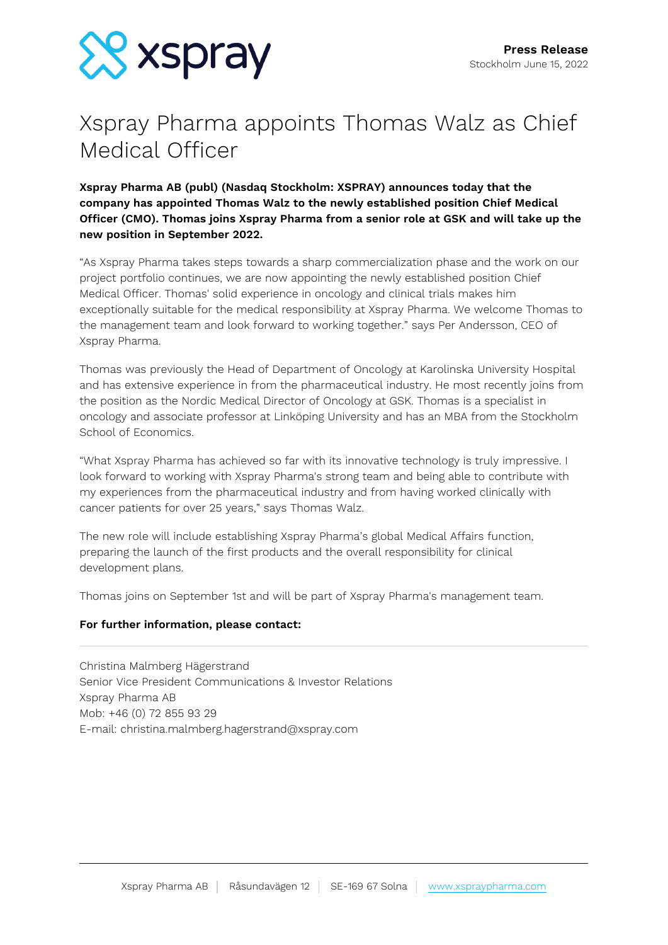

# Xspray Pharma appoints Thomas Walz as Chief Medical Officer

# **Xspray Pharma AB (publ) (Nasdaq Stockholm: XSPRAY) announces today that the company has appointed Thomas Walz to the newly established position Chief Medical Officer (CMO). Thomas joins Xspray Pharma from a senior role at GSK and will take up the new position in September 2022.**

"As Xspray Pharma takes steps towards a sharp commercialization phase and the work on our project portfolio continues, we are now appointing the newly established position Chief Medical Officer. Thomas' solid experience in oncology and clinical trials makes him exceptionally suitable for the medical responsibility at Xspray Pharma. We welcome Thomas to the management team and look forward to working together." says Per Andersson, CEO of Xspray Pharma.

Thomas was previously the Head of Department of Oncology at Karolinska University Hospital and has extensive experience in from the pharmaceutical industry. He most recently joins from the position as the Nordic Medical Director of Oncology at GSK. Thomas is a specialist in oncology and associate professor at Linköping University and has an MBA from the Stockholm School of Economics.

"What Xspray Pharma has achieved so far with its innovative technology is truly impressive. I look forward to working with Xspray Pharma's strong team and being able to contribute with my experiences from the pharmaceutical industry and from having worked clinically with cancer patients for over 25 years," says Thomas Walz.

The new role will include establishing Xspray Pharma's global Medical Affairs function, preparing the launch of the first products and the overall responsibility for clinical development plans.

Thomas joins on September 1st and will be part of Xspray Pharma's management team.

## **For further information, please contact:**

Christina Malmberg Hägerstrand Senior Vice President Communications & Investor Relations Xspray Pharma AB Mob: +46 (0) 72 855 93 29 E-mail: christina.malmberg.hagerstrand@xspray.com